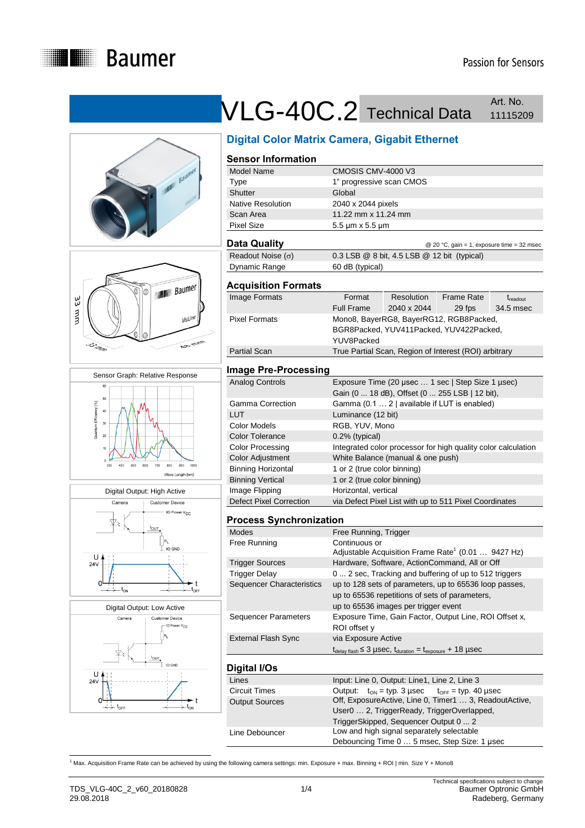











## VLG-40C.2 Technical Data Art. No. Art. No.

|                                                | <b>Digital Color Matrix Camera, Gigabit Ethernet</b>                                                    |  |  |
|------------------------------------------------|---------------------------------------------------------------------------------------------------------|--|--|
| <b>Sensor Information</b>                      |                                                                                                         |  |  |
| Model Name                                     | CMOSIS CMV-4000 V3                                                                                      |  |  |
| <b>Type</b>                                    | 1" progressive scan CMOS                                                                                |  |  |
| <b>Shutter</b>                                 | Global                                                                                                  |  |  |
| Native Resolution                              | 2040 x 2044 pixels                                                                                      |  |  |
| Scan Area                                      | 11.22 mm x 11.24 mm                                                                                     |  |  |
| <b>Pixel Size</b>                              | 5.5 µm x 5.5 µm                                                                                         |  |  |
| <b>Data Quality</b>                            | @ 20 °C, gain = 1, exposure time = 32 msec                                                              |  |  |
| Readout Noise $(\sigma)$                       | 0.3 LSB @ 8 bit, 4.5 LSB @ 12 bit (typical)                                                             |  |  |
| Dynamic Range                                  | 60 dB (typical)                                                                                         |  |  |
| <b>Acquisition Formats</b>                     |                                                                                                         |  |  |
| Image Formats                                  | Format<br>Resolution<br><b>Frame Rate</b><br>t <sub>readout</sub>                                       |  |  |
|                                                | <b>Full Frame</b><br>2040 x 2044<br>29 fps<br>34.5 msec                                                 |  |  |
| <b>Pixel Formats</b>                           | Mono8, BayerRG8, BayerRG12, RGB8Packed,                                                                 |  |  |
|                                                | BGR8Packed, YUV411Packed, YUV422Packed,                                                                 |  |  |
|                                                | YUV8Packed                                                                                              |  |  |
| <b>Partial Scan</b>                            | True Partial Scan, Region of Interest (ROI) arbitrary                                                   |  |  |
|                                                |                                                                                                         |  |  |
| <b>Image Pre-Processing</b>                    |                                                                                                         |  |  |
| <b>Analog Controls</b>                         | Exposure Time (20 µsec  1 sec   Step Size 1 µsec)                                                       |  |  |
|                                                | Gain (0  18 dB), Offset (0  255 LSB   12 bit),                                                          |  |  |
| <b>Gamma Correction</b>                        | Gamma (0.1  2   available if LUT is enabled)                                                            |  |  |
| <b>LUT</b>                                     | Luminance (12 bit)                                                                                      |  |  |
| <b>Color Models</b>                            | RGB, YUV, Mono                                                                                          |  |  |
| <b>Color Tolerance</b>                         | 0.2% (typical)                                                                                          |  |  |
| <b>Color Processing</b>                        | Integrated color processor for high quality color calculation                                           |  |  |
| <b>Color Adjustment</b>                        | White Balance (manual & one push)                                                                       |  |  |
| <b>Binning Horizontal</b>                      | 1 or 2 (true color binning)                                                                             |  |  |
| <b>Binning Vertical</b>                        | 1 or 2 (true color binning)                                                                             |  |  |
| Image Flipping                                 | Horizontal, vertical                                                                                    |  |  |
| <b>Defect Pixel Correction</b>                 | via Defect Pixel List with up to 511 Pixel Coordinates                                                  |  |  |
|                                                |                                                                                                         |  |  |
| <b>Process Synchronization</b>                 |                                                                                                         |  |  |
| <b>Modes</b>                                   | Free Running, Trigger                                                                                   |  |  |
| Free Running                                   | Continuous or<br>Adjustable Acquisition Frame Rate <sup>1</sup> (0.01  9427 Hz)                         |  |  |
|                                                |                                                                                                         |  |  |
| <b>Trigger Sources</b><br><b>Trigger Delay</b> | Hardware, Software, ActionCommand, All or Off<br>0  2 sec, Tracking and buffering of up to 512 triggers |  |  |
| Sequencer Characteristics                      | up to 128 sets of parameters, up to 65536 loop passes,                                                  |  |  |
|                                                | up to 65536 repetitions of sets of parameters,                                                          |  |  |
|                                                |                                                                                                         |  |  |
| <b>Sequencer Parameters</b>                    | up to 65536 images per trigger event                                                                    |  |  |
|                                                | Exposure Time, Gain Factor, Output Line, ROI Offset x,<br>ROI offset y                                  |  |  |
| <b>External Flash Sync</b>                     | via Exposure Active                                                                                     |  |  |
|                                                | $t_{\text{delay flash}} \leq 3$ µSec, $t_{\text{duration}} = t_{\text{exposure}} + 18$ µSec             |  |  |
| Digital I/Os                                   |                                                                                                         |  |  |
| Lines                                          | Input: Line 0, Output: Line1, Line 2, Line 3                                                            |  |  |
| <b>Circuit Times</b>                           | Output:<br>$t_{ON}$ = typ. 3 µsec<br>$t_{OFF}$ = typ. 40 µsec                                           |  |  |
| <b>Output Sources</b>                          | Off, ExposureActive, Line 0, Timer1  3, ReadoutActive,                                                  |  |  |

| Lines                 | Input: Line 0, Output: Line1, Line 2, Line 3                                                         |  |
|-----------------------|------------------------------------------------------------------------------------------------------|--|
| <b>Circuit Times</b>  | Output: $t_{ON} = typ. 3 \,\mu sec$ $t_{OFF} = typ. 40 \,\mu sec$                                    |  |
| <b>Output Sources</b> | Off, ExposureActive, Line 0, Timer1  3, ReadoutActive,<br>User0  2, TriggerReady, TriggerOverlapped, |  |
|                       |                                                                                                      |  |
|                       | TriggerSkipped, Sequencer Output 0  2                                                                |  |
| Line Debouncer        | Low and high signal separately selectable                                                            |  |
|                       | Debouncing Time 0  5 msec, Step Size: 1 usec                                                         |  |

<sup>1</sup><br><sup>1</sup> Max. Acquisition Frame Rate can be achieved by using the following camera settings: min. Exposure + max. Binning + ROI | min. Size Y + Mono8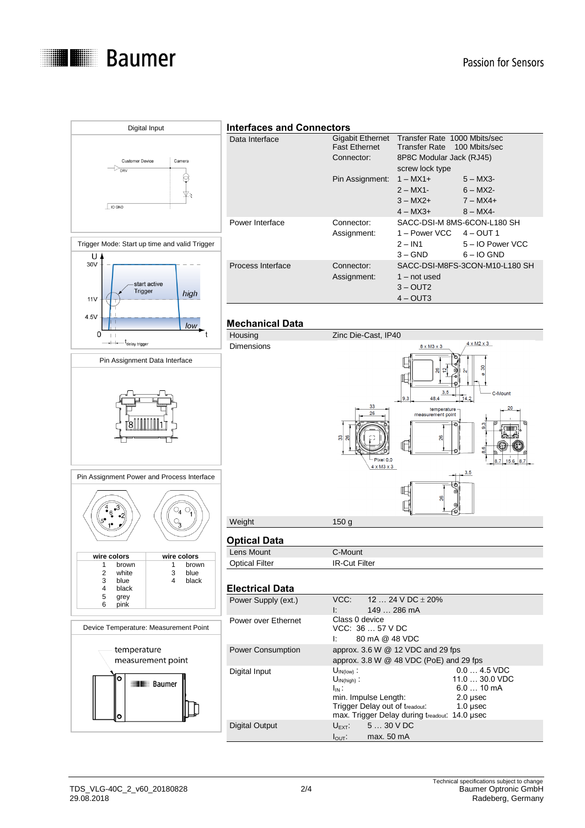



#### **Interfaces and Connectors**

| Data Interface    | Gigabit Ethernet     | Transfer Rate 1000 Mbits/sec     |                                |
|-------------------|----------------------|----------------------------------|--------------------------------|
|                   | <b>Fast Ethernet</b> | Transfer Rate 100 Mbits/sec      |                                |
|                   | Connector:           | 8P8C Modular Jack (RJ45)         |                                |
|                   |                      | screw lock type                  |                                |
|                   | Pin Assignment:      | $1 - MX1 +$                      | $5 - MX3$                      |
|                   |                      | $2 - MX1$ -                      | $6 - MX2$ -                    |
|                   |                      | $3 - MX2 +$                      | $7 - MX4 +$                    |
|                   |                      | $4 - MX3 +$                      | $8 - MX4 -$                    |
| Power Interface   | Connector:           | SACC-DSI-M 8MS-6CON-L180 SH      |                                |
|                   | Assignment:          | 1 – Power VCC $4 - \text{OUT} 1$ |                                |
|                   |                      | $2 - IN1$                        | 5 - IO Power VCC               |
|                   |                      | $3 - GND$                        | $6 - 10$ GND                   |
| Process Interface | Connector:           |                                  | SACC-DSI-M8FS-3CON-M10-L180 SH |
|                   | Assignment:          | $1 - not used$                   |                                |
|                   |                      | $3 - \text{OUT2}$                |                                |
|                   |                      | $4 - \text{OUT3}$                |                                |

#### **Mechanical Data**

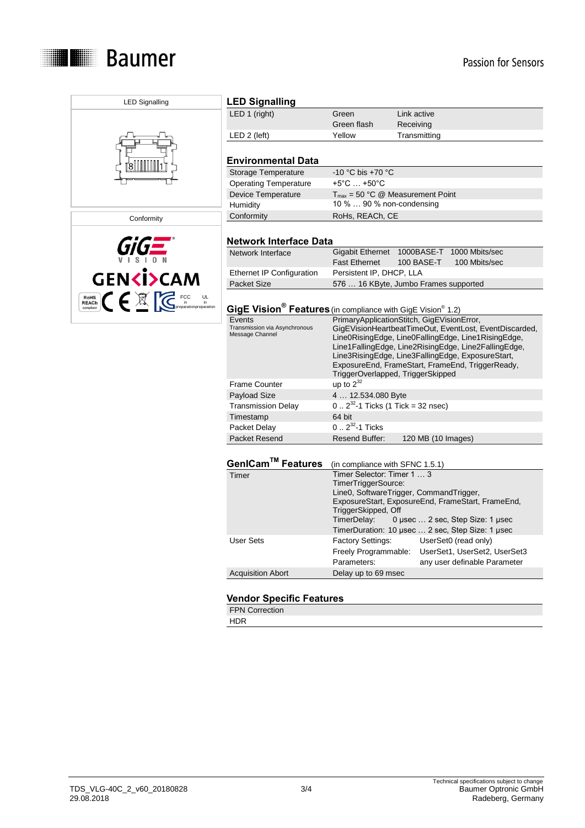



LED Signalling

# **LED Signalling**<br>LED 1 (right)

| LED 1 (right) | Green       | Link active  |
|---------------|-------------|--------------|
|               | Green flash | Receiving    |
| LED 2 (left)  | Yellow      | Transmitting |
|               |             |              |
|               |             |              |

## **Environmental Data**

| Storage Temperature          | $-10$ °C bis $+70$ °C                        |
|------------------------------|----------------------------------------------|
| <b>Operating Temperature</b> | $+5^{\circ}$ C $ +50^{\circ}$ C              |
| Device Temperature           | $T_{\text{max}}$ = 50 °C @ Measurement Point |
| Humidity                     | 10 %  90 % non-condensing                    |
| Conformity                   | RoHs, REACh, CE                              |

#### **Network Interface Data**

| Network Interface         | Gigabit Ethernet 1000BASE-T 1000 Mbits/sec |  |                          |  |
|---------------------------|--------------------------------------------|--|--------------------------|--|
|                           | Fast Ethernet                              |  | 100 BASE-T 100 Mbits/sec |  |
| Ethernet IP Configuration | Persistent IP, DHCP, LLA                   |  |                          |  |
| Packet Size               | 576  16 KByte, Jumbo Frames supported      |  |                          |  |

#### **GigE Vision® Features**(in compliance with GigE Vision® 1.2)

| Events                        | PrimaryApplicationStitch, GigEVisionError,             |
|-------------------------------|--------------------------------------------------------|
| Transmission via Asynchronous | GigEVisionHeartbeatTimeOut, EventLost, EventDiscarded, |
| Message Channel               | Line0RisingEdge, Line0FallingEdge, Line1RisingEdge,    |
|                               | Line1FallingEdge, Line2RisingEdge, Line2FallingEdge,   |
|                               | Line3RisingEdge, Line3FallingEdge, ExposureStart,      |
|                               | ExposureEnd, FrameStart, FrameEnd, TriggerReady,       |
|                               | TriggerOverlapped, TriggerSkipped                      |
| <b>Frame Counter</b>          | up to $2^{32}$                                         |
| Payload Size                  | 4  12.534.080 Byte                                     |
| <b>Transmission Delay</b>     | $0.2^{32}$ -1 Ticks (1 Tick = 32 nsec)                 |
| Timestamp                     | 64 bit                                                 |
| Packet Delay                  | $0.2^{32}$ -1 Ticks                                    |
| Packet Resend                 | 120 MB (10 Images)<br>Resend Buffer:                   |

### **GenICamTM Features** (in compliance with SFNC 1.5.1)

| Timer                    | Timer Selector: Timer 1  3              |                                                   |
|--------------------------|-----------------------------------------|---------------------------------------------------|
|                          | TimerTriggerSource:                     |                                                   |
|                          | Line0, SoftwareTrigger, CommandTrigger, |                                                   |
|                          |                                         | ExposureStart, ExposureEnd, FrameStart, FrameEnd, |
|                          | TriggerSkipped, Off                     |                                                   |
|                          |                                         | TimerDelay: 0 usec  2 sec. Step Size: 1 usec      |
|                          |                                         | TimerDuration: 10 usec  2 sec, Step Size: 1 usec  |
| User Sets                | <b>Factory Settings:</b>                | UserSet0 (read only)                              |
|                          | Freely Programmable:                    | UserSet1, UserSet2, UserSet3                      |
|                          | Parameters:                             | any user definable Parameter                      |
| <b>Acquisition Abort</b> | Delay up to 69 msec                     |                                                   |
|                          |                                         |                                                   |

## **Vendor Specific Features**

FPN Correction HDR

TDS\_VLG-40C\_2\_v60\_20180828 3/4<br>29.08.2018